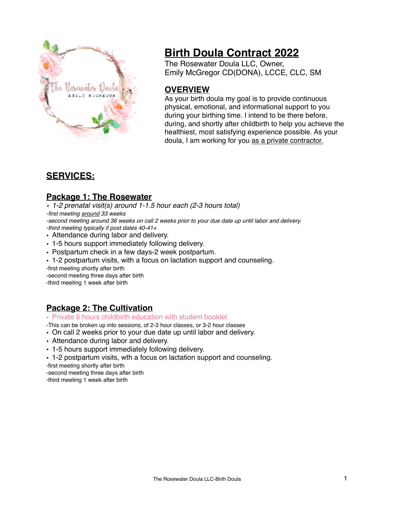

# **Birth Doula Contract 2022**

The Rosewater Doula LLC, Owner, Emily McGregor CD(DONA), LCCE, CLC, SM

# **OVERVIEW**

As your birth doula my goal is to provide continuous physical, emotional, and informational support to you during your birthing time. I intend to be there before, during, and shortly after childbirth to help you achieve the healthiest, most satisfying experience possible. As your doula, I am working for you as a private contractor.

# **SERVICES:**

## **Package 1: The Rosewater**

*• 1-2 prenatal visit(s) around 1-1.5 hour each (2-3 hours total) -first meeting around 33 weeks -second meeting around 36 weeks on call 2 weeks prior to your due date up until labor and delivery.*

*-third meeting typically if post dates 40-41+*

- Attendance during labor and delivery.
- 1-5 hours support immediately following delivery.
- Postpartum check in a few days-2 week postpartum.
- 1-2 postpartum visits, with a focus on lactation support and counseling.

-first meeting shortly after birth

-second meeting three days after birth -third meeting 1 week after birth

## **Package 2: The Cultivation**

• Private 6 hours childbirth education with student booklet

-This can be broken up into sessions, of 2-3 hour classes, or 3-2 hour classes

- On call 2 weeks prior to your due date up until labor and delivery.
- Attendance during labor and delivery.
- 1-5 hours support immediately following delivery.
- 1-2 postpartum visits, wth a focus on lactation support and counseling.

-first meeting shortly after birth

-second meeting three days after birth -third meeting 1 week after birth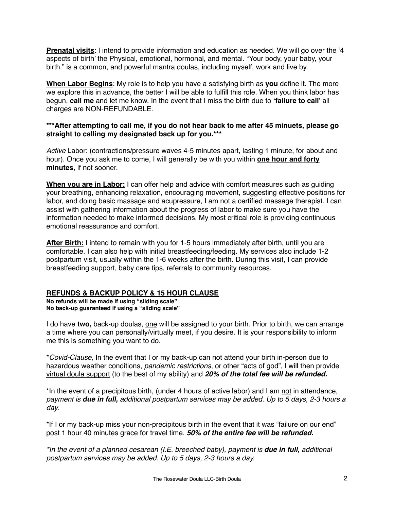**Prenatal visits**: I intend to provide information and education as needed. We will go over the '4 aspects of birth' the Physical, emotional, hormonal, and mental. "Your body, your baby, your birth." is a common, and powerful mantra doulas, including myself, work and live by.

**When Labor Begins**: My role is to help you have a satisfying birth as **you** define it. The more we explore this in advance, the better I will be able to fulfill this role. When you think labor has begun, **call me** and let me know. In the event that I miss the birth due to **'failure to call'** all charges are NON-REFUNDABLE.

#### **\*\*\*After attempting to call me, if you do not hear back to me after 45 minuets, please go straight to calling my designated back up for you.\*\*\***

*Active* Labor: (contractions/pressure waves 4-5 minutes apart, lasting 1 minute, for about and hour). Once you ask me to come, I will generally be with you within **one hour and forty minutes**, if not sooner.

**When you are in Labor:** I can offer help and advice with comfort measures such as guiding your breathing, enhancing relaxation, encouraging movement, suggesting effective positions for labor, and doing basic massage and acupressure, I am not a certified massage therapist. I can assist with gathering information about the progress of labor to make sure you have the information needed to make informed decisions. My most critical role is providing continuous emotional reassurance and comfort.

**After Birth:** I intend to remain with you for 1-5 hours immediately after birth, until you are comfortable. I can also help with initial breastfeeding/feeding. My services also include 1-2 postpartum visit, usually within the 1-6 weeks after the birth. During this visit, I can provide breastfeeding support, baby care tips, referrals to community resources.

#### **REFUNDS & BACKUP POLICY & 15 HOUR CLAUSE**

**No refunds will be made if using "sliding scale" No back-up guaranteed if using a "sliding scale"**

I do have **two,** back-up doulas, one will be assigned to your birth. Prior to birth, we can arrange a time where you can personally/virtually meet, if you desire. It is your responsibility to inform me this is something you want to do.

\**Covid-Clause,* In the event that I or my back-up can not attend your birth in-person due to hazardous weather conditions, *pandemic restrictions*, or other "acts of god", I will then provide virtual doula support (to the best of my ability) and *20% of the total fee will be refunded.*

\*In the event of a precipitous birth, (under 4 hours of active labor) and I am not in attendance, *payment is due in full, additional postpartum services may be added. Up to 5 days, 2-3 hours a day.*

\*If I or my back-up miss your non-precipitous birth in the event that it was "failure on our end" post 1 hour 40 minutes grace for travel time. *50% of the entire fee will be refunded.* 

*\*In the event of a planned cesarean (I.E. breeched baby), payment is due in full, additional postpartum services may be added. Up to 5 days, 2-3 hours a day.*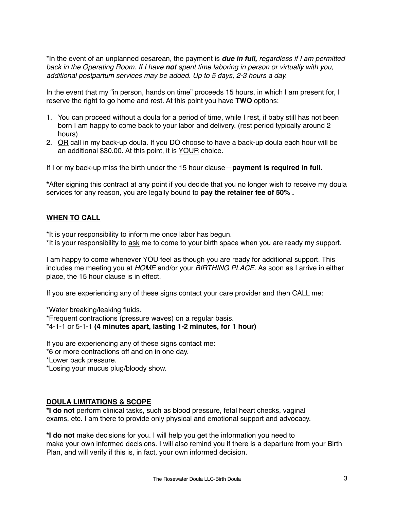\*In the event of an unplanned cesarean, the payment is *due in full, regardless if I am permitted back in the Operating Room. If I have not spent time laboring in person or virtually with you, additional postpartum services may be added. Up to 5 days, 2-3 hours a day.*

In the event that my "in person, hands on time" proceeds 15 hours, in which I am present for, I reserve the right to go home and rest. At this point you have **TWO** options:

- 1. You can proceed without a doula for a period of time, while I rest, if baby still has not been born I am happy to come back to your labor and delivery. (rest period typically around 2 hours)
- 2. OR call in my back-up doula. If you DO choose to have a back-up doula each hour will be an additional \$30.00. At this point, it is YOUR choice.

If I or my back-up miss the birth under the 15 hour clause—**payment is required in full.**

**\***After signing this contract at any point if you decide that you no longer wish to receive my doula services for any reason, you are legally bound to **pay the retainer fee of 50% .**

#### **WHEN TO CALL**

\*It is your responsibility to inform me once labor has begun.

\*It is your responsibility to ask me to come to your birth space when you are ready my support.

I am happy to come whenever YOU feel as though you are ready for additional support. This includes me meeting you at *HOME* and/or your *BIRTHING PLACE.* As soon as I arrive in either place, the 15 hour clause is in effect.

If you are experiencing any of these signs contact your care provider and then CALL me:

\*Water breaking/leaking fluids. \*Frequent contractions (pressure waves) on a regular basis. \*4-1-1 or 5-1-1 **(4 minutes apart, lasting 1-2 minutes, for 1 hour)**

If you are experiencing any of these signs contact me: \*6 or more contractions off and on in one day. \*Lower back pressure. \*Losing your mucus plug/bloody show.

#### **DOULA LIMITATIONS & SCOPE**

**\*I do not** perform clinical tasks, such as blood pressure, fetal heart checks, vaginal exams, etc. I am there to provide only physical and emotional support and advocacy.

**\*I do not** make decisions for you. I will help you get the information you need to make your own informed decisions. I will also remind you if there is a departure from your Birth Plan, and will verify if this is, in fact, your own informed decision.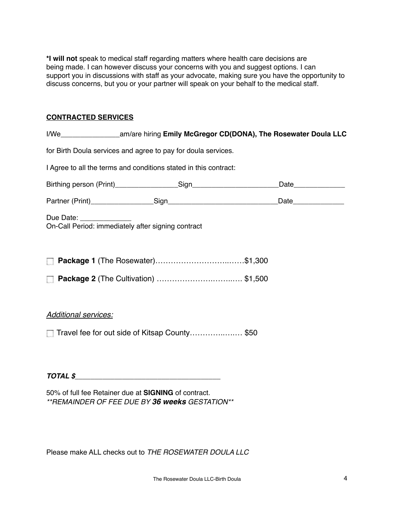**\*I will not** speak to medical staff regarding matters where health care decisions are being made. I can however discuss your concerns with you and suggest options. I can support you in discussions with staff as your advocate, making sure you have the opportunity to discuss concerns, but you or your partner will speak on your behalf to the medical staff.

#### **CONTRACTED SERVICES**

|                             | for Birth Doula services and agree to pay for doula services.    |                     |
|-----------------------------|------------------------------------------------------------------|---------------------|
|                             | I Agree to all the terms and conditions stated in this contract: |                     |
|                             |                                                                  | Date_______________ |
|                             |                                                                  |                     |
| Due Date: The Due Date:     | On-Call Period: immediately after signing contract               |                     |
|                             |                                                                  |                     |
| <b>Additional services:</b> | Travel fee for out side of Kitsap County \$50                    |                     |
|                             | $\overline{107ALS}$                                              |                     |

50% of full fee Retainer due at **SIGNING** of contract. *\*\*REMAINDER OF FEE DUE BY 36 weeks GESTATION\*\** 

Please make ALL checks out to *THE ROSEWATER DOULA LLC*